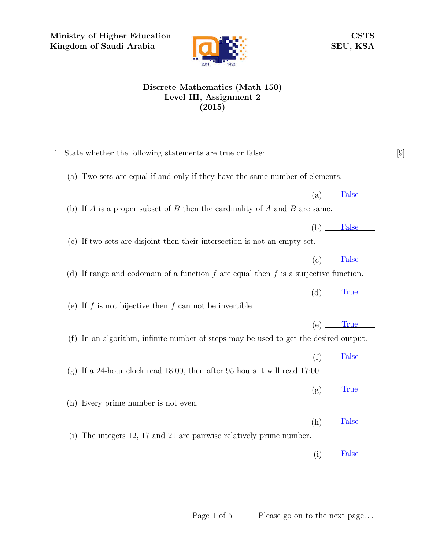Ministry of Higher Education Kingdom of Saudi Arabia



## CSTS SEU, KSA

## Discrete Mathematics (Math 150) Level III, Assignment 2 (2015)

- 1. State whether the following statements are true or false: [9]
	- (a) Two sets are equal if and only if they have the same number of elements.
	- (b) If A is a proper subset of B then the cardinality of A and B are same.
	- (c) If two sets are disjoint then their intersection is not an empty set.
	- (d) If range and codomain of a function  $f$  are equal then  $f$  is a surjective function.
	-
	- (e) If  $f$  is not bijective then  $f$  can not be invertible.

(h) Every prime number is not even.

- (f) In an algorithm, infinite number of steps may be used to get the desired output.
	- $(f)$  False
- (g) If a 24-hour clock read 18:00, then after 95 hours it will read 17:00.
	- $(g)$  True

 $(h)$  False

(i) The integers 12, 17 and 21 are pairwise relatively prime number.

 $(i)$  False

 $(c)$  False

 $(a)$  False

 $(b)$  False

 $(d)$  True

 $(e)$  True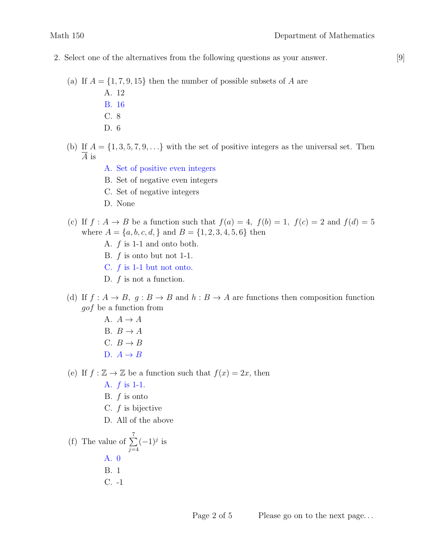- 2. Select one of the alternatives from the following questions as your answer. [9]
	- (a) If  $A = \{1, 7, 9, 15\}$  then the number of possible subsets of A are
		- A. 12
		- B. 16
		- C. 8
		- D. 6
	- (b) If  $A = \{1, 3, 5, 7, 9, \ldots\}$  with the set of positive integers as the universal set. Then A is
		- A. Set of positive even integers
		- B. Set of negative even integers
		- C. Set of negative integers
		- D. None
	- (c) If  $f : A \to B$  be a function such that  $f(a) = 4$ ,  $f(b) = 1$ ,  $f(c) = 2$  and  $f(d) = 5$ where  $A = \{a, b, c, d, \}$  and  $B = \{1, 2, 3, 4, 5, 6\}$  then
		- A. f is 1-1 and onto both.
		- B.  $f$  is onto but not 1-1.
		- C.  $f$  is 1-1 but not onto.
		- D.  $f$  is not a function.
	- (d) If  $f: A \to B$ ,  $g: B \to B$  and  $h: B \to A$  are functions then composition function gof be a function from
		- A.  $A \rightarrow A$ B.  $B \to A$ C.  $B \to B$ D.  $A \rightarrow B$

(e) If  $f : \mathbb{Z} \to \mathbb{Z}$  be a function such that  $f(x) = 2x$ , then

- A. f is 1-1.
- B.  $f$  is onto
- C.  $f$  is bijective
- D. All of the above

(f) The value of 
$$
\sum_{j=4}^{7} (-1)^{j}
$$
 is  
A. 0  
B. 1  
C. -1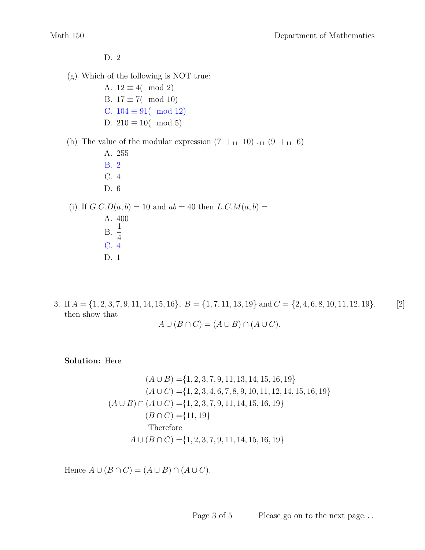D. 2

(g) Which of the following is NOT true:

A.  $12 \equiv 4 \pmod{2}$ B.  $17 \equiv 7$  (mod 10) C.  $104 \equiv 91$  mod 12) D.  $210 \equiv 10 \pmod{5}$ 

(h) The value of the modular expression  $(7 +_{11} 10)$   $_{11} (9 +_{11} 6)$ 

- A. 255 B. 2 C. 4
- D. 6

(i) If  $G.C.D(a, b) = 10$  and  $ab = 40$  then  $L.C.M(a, b) =$ 

- A. 400  $B. \frac{1}{4}$ 4 C. 4 D. 1
- 3. If  $A = \{1, 2, 3, 7, 9, 11, 14, 15, 16\}, B = \{1, 7, 11, 13, 19\}$  and  $C = \{2, 4, 6, 8, 10, 11, 12, 19\},\$  [2] then show that

$$
A \cup (B \cap C) = (A \cup B) \cap (A \cup C).
$$

Solution: Here

$$
(A \cup B) = \{1, 2, 3, 7, 9, 11, 13, 14, 15, 16, 19\}
$$
  
\n
$$
(A \cup C) = \{1, 2, 3, 4, 6, 7, 8, 9, 10, 11, 12, 14, 15, 16, 19\}
$$
  
\n
$$
(A \cup B) \cap (A \cup C) = \{1, 2, 3, 7, 9, 11, 14, 15, 16, 19\}
$$
  
\n
$$
(B \cap C) = \{11, 19\}
$$
  
\nTherefore  
\n
$$
A \cup (B \cap C) = \{1, 2, 3, 7, 9, 11, 14, 15, 16, 19\}
$$

Hence  $A \cup (B \cap C) = (A \cup B) \cap (A \cup C)$ .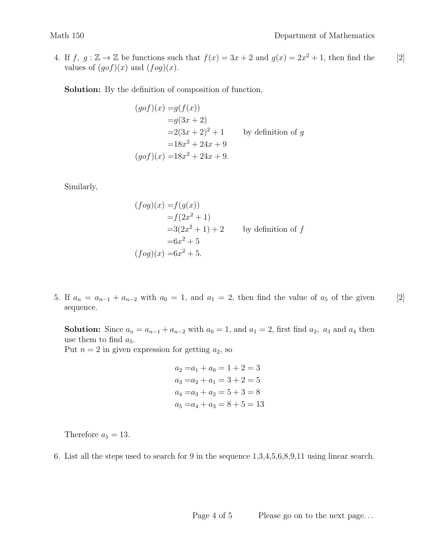4. If  $f, g: \mathbb{Z} \to \mathbb{Z}$  be functions such that  $f(x) = 3x + 2$  and  $g(x) = 2x^2 + 1$ , then find the [2] values of  $(gof)(x)$  and  $(fog)(x)$ .

Solution: By the definition of composition of function,

$$
(gof)(x) = g(f(x))
$$
  
\n
$$
= g(3x + 2)
$$
  
\n
$$
= 2(3x + 2)^2 + 1
$$
 by definition of g  
\n
$$
= 18x^2 + 24x + 9
$$
  
\n
$$
(gof)(x) = 18x^2 + 24x + 9.
$$

Similarly,

$$
(fog)(x) = f(g(x))
$$
  
\n
$$
= f(2x2 + 1)
$$
  
\n
$$
= 3(2x2 + 1) + 2
$$
 by definition of f  
\n
$$
= 6x2 + 5
$$
  
\n
$$
(fog)(x) = 6x2 + 5.
$$

5. If  $a_n = a_{n-1} + a_{n-2}$  with  $a_0 = 1$ , and  $a_1 = 2$ , then find the value of  $a_5$  of the given [2] sequence.

**Solution:** Since  $a_n = a_{n-1} + a_{n-2}$  with  $a_0 = 1$ , and  $a_1 = 2$ , first find  $a_2$ ,  $a_3$  and  $a_4$  then use them to find  $a_5$ .

Put  $n = 2$  in given expression for getting  $a_2$ , so

$$
a_2 = a_1 + a_0 = 1 + 2 = 3
$$
  
\n
$$
a_3 = a_2 + a_1 = 3 + 2 = 5
$$
  
\n
$$
a_4 = a_3 + a_2 = 5 + 3 = 8
$$
  
\n
$$
a_5 = a_4 + a_3 = 8 + 5 = 13
$$

Therefore  $a_5 = 13$ .

6. List all the steps used to search for 9 in the sequence 1,3,4,5,6,8,9,11 using linear search.